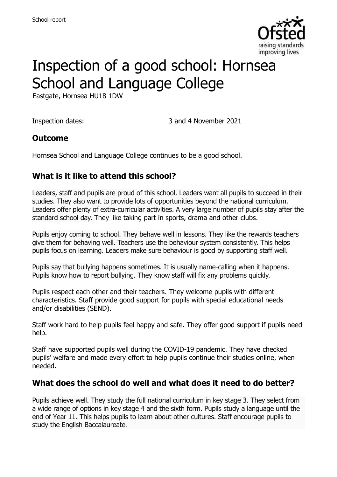

# Inspection of a good school: Hornsea School and Language College

Eastgate, Hornsea HU18 1DW

Inspection dates: 3 and 4 November 2021

#### **Outcome**

Hornsea School and Language College continues to be a good school.

### **What is it like to attend this school?**

Leaders, staff and pupils are proud of this school. Leaders want all pupils to succeed in their studies. They also want to provide lots of opportunities beyond the national curriculum. Leaders offer plenty of extra-curricular activities. A very large number of pupils stay after the standard school day. They like taking part in sports, drama and other clubs.

Pupils enjoy coming to school. They behave well in lessons. They like the rewards teachers give them for behaving well. Teachers use the behaviour system consistently. This helps pupils focus on learning. Leaders make sure behaviour is good by supporting staff well.

Pupils say that bullying happens sometimes. It is usually name-calling when it happens. Pupils know how to report bullying. They know staff will fix any problems quickly.

Pupils respect each other and their teachers. They welcome pupils with different characteristics. Staff provide good support for pupils with special educational needs and/or disabilities (SEND).

Staff work hard to help pupils feel happy and safe. They offer good support if pupils need help.

Staff have supported pupils well during the COVID-19 pandemic. They have checked pupils' welfare and made every effort to help pupils continue their studies online, when needed.

#### **What does the school do well and what does it need to do better?**

Pupils achieve well. They study the full national curriculum in key stage 3. They select from a wide range of options in key stage 4 and the sixth form. Pupils study a language until the end of Year 11. This helps pupils to learn about other cultures. Staff encourage pupils to study the English Baccalaureate.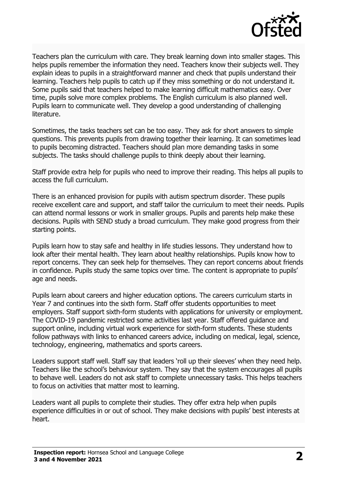

Teachers plan the curriculum with care. They break learning down into smaller stages. This helps pupils remember the information they need. Teachers know their subjects well. They explain ideas to pupils in a straightforward manner and check that pupils understand their learning. Teachers help pupils to catch up if they miss something or do not understand it. Some pupils said that teachers helped to make learning difficult mathematics easy. Over time, pupils solve more complex problems. The English curriculum is also planned well. Pupils learn to communicate well. They develop a good understanding of challenging literature.

Sometimes, the tasks teachers set can be too easy. They ask for short answers to simple questions. This prevents pupils from drawing together their learning. It can sometimes lead to pupils becoming distracted. Teachers should plan more demanding tasks in some subjects. The tasks should challenge pupils to think deeply about their learning.

Staff provide extra help for pupils who need to improve their reading. This helps all pupils to access the full curriculum.

There is an enhanced provision for pupils with autism spectrum disorder. These pupils receive excellent care and support, and staff tailor the curriculum to meet their needs. Pupils can attend normal lessons or work in smaller groups. Pupils and parents help make these decisions. Pupils with SEND study a broad curriculum. They make good progress from their starting points.

Pupils learn how to stay safe and healthy in life studies lessons. They understand how to look after their mental health. They learn about healthy relationships. Pupils know how to report concerns. They can seek help for themselves. They can report concerns about friends in confidence. Pupils study the same topics over time. The content is appropriate to pupils' age and needs.

Pupils learn about careers and higher education options. The careers curriculum starts in Year 7 and continues into the sixth form. Staff offer students opportunities to meet employers. Staff support sixth-form students with applications for university or employment. The COVID-19 pandemic restricted some activities last year. Staff offered guidance and support online, including virtual work experience for sixth-form students. These students follow pathways with links to enhanced careers advice, including on medical, legal, science, technology, engineering, mathematics and sports careers.

Leaders support staff well. Staff say that leaders 'roll up their sleeves' when they need help. Teachers like the school's behaviour system. They say that the system encourages all pupils to behave well. Leaders do not ask staff to complete unnecessary tasks. This helps teachers to focus on activities that matter most to learning.

Leaders want all pupils to complete their studies. They offer extra help when pupils experience difficulties in or out of school. They make decisions with pupils' best interests at heart.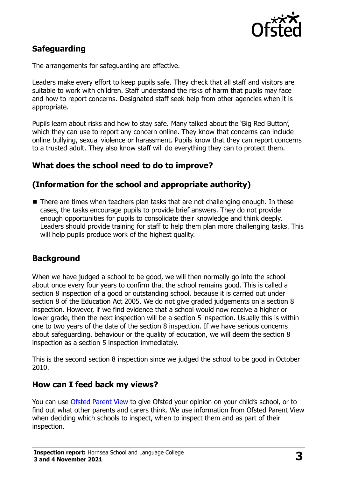

## **Safeguarding**

The arrangements for safeguarding are effective.

Leaders make every effort to keep pupils safe. They check that all staff and visitors are suitable to work with children. Staff understand the risks of harm that pupils may face and how to report concerns. Designated staff seek help from other agencies when it is appropriate.

Pupils learn about risks and how to stay safe. Many talked about the 'Big Red Button', which they can use to report any concern online. They know that concerns can include online bullying, sexual violence or harassment. Pupils know that they can report concerns to a trusted adult. They also know staff will do everything they can to protect them.

## **What does the school need to do to improve?**

## **(Information for the school and appropriate authority)**

■ There are times when teachers plan tasks that are not challenging enough. In these cases, the tasks encourage pupils to provide brief answers. They do not provide enough opportunities for pupils to consolidate their knowledge and think deeply. Leaders should provide training for staff to help them plan more challenging tasks. This will help pupils produce work of the highest quality.

## **Background**

When we have judged a school to be good, we will then normally go into the school about once every four years to confirm that the school remains good. This is called a section 8 inspection of a good or outstanding school, because it is carried out under section 8 of the Education Act 2005. We do not give graded judgements on a section 8 inspection. However, if we find evidence that a school would now receive a higher or lower grade, then the next inspection will be a section 5 inspection. Usually this is within one to two years of the date of the section 8 inspection. If we have serious concerns about safeguarding, behaviour or the quality of education, we will deem the section 8 inspection as a section 5 inspection immediately.

This is the second section 8 inspection since we judged the school to be good in October 2010.

### **How can I feed back my views?**

You can use [Ofsted Parent View](https://parentview.ofsted.gov.uk/) to give Ofsted your opinion on your child's school, or to find out what other parents and carers think. We use information from Ofsted Parent View when deciding which schools to inspect, when to inspect them and as part of their inspection.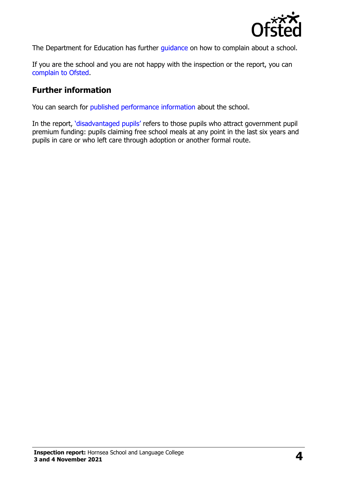

The Department for Education has further quidance on how to complain about a school.

If you are the school and you are not happy with the inspection or the report, you can [complain to Ofsted.](https://www.gov.uk/complain-ofsted-report)

#### **Further information**

You can search for [published performance information](http://www.compare-school-performance.service.gov.uk/) about the school.

In the report, '[disadvantaged pupils](http://www.gov.uk/guidance/pupil-premium-information-for-schools-and-alternative-provision-settings)' refers to those pupils who attract government pupil premium funding: pupils claiming free school meals at any point in the last six years and pupils in care or who left care through adoption or another formal route.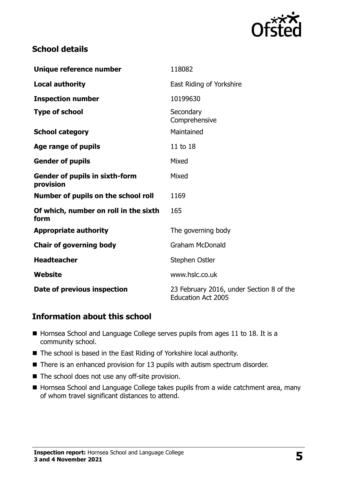

## **School details**

| Unique reference number                            | 118082                                                                |
|----------------------------------------------------|-----------------------------------------------------------------------|
| <b>Local authority</b>                             | East Riding of Yorkshire                                              |
| <b>Inspection number</b>                           | 10199630                                                              |
| <b>Type of school</b>                              | Secondary<br>Comprehensive                                            |
| <b>School category</b>                             | Maintained                                                            |
| Age range of pupils                                | 11 to 18                                                              |
| <b>Gender of pupils</b>                            | Mixed                                                                 |
| <b>Gender of pupils in sixth-form</b><br>provision | Mixed                                                                 |
| Number of pupils on the school roll                | 1169                                                                  |
| Of which, number on roll in the sixth<br>form      | 165                                                                   |
| <b>Appropriate authority</b>                       | The governing body                                                    |
| <b>Chair of governing body</b>                     | <b>Graham McDonald</b>                                                |
| <b>Headteacher</b>                                 | Stephen Ostler                                                        |
| Website                                            | www.hslc.co.uk                                                        |
| Date of previous inspection                        | 23 February 2016, under Section 8 of the<br><b>Education Act 2005</b> |

### **Information about this school**

- Hornsea School and Language College serves pupils from ages 11 to 18. It is a community school.
- The school is based in the East Riding of Yorkshire local authority.
- There is an enhanced provision for 13 pupils with autism spectrum disorder.
- The school does not use any off-site provision.
- Hornsea School and Language College takes pupils from a wide catchment area, many of whom travel significant distances to attend.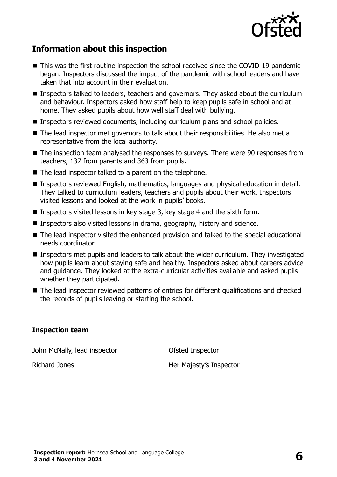

## **Information about this inspection**

- This was the first routine inspection the school received since the COVID-19 pandemic began. Inspectors discussed the impact of the pandemic with school leaders and have taken that into account in their evaluation.
- Inspectors talked to leaders, teachers and governors. They asked about the curriculum and behaviour. Inspectors asked how staff help to keep pupils safe in school and at home. They asked pupils about how well staff deal with bullying.
- Inspectors reviewed documents, including curriculum plans and school policies.
- The lead inspector met governors to talk about their responsibilities. He also met a representative from the local authority.
- The inspection team analysed the responses to surveys. There were 90 responses from teachers, 137 from parents and 363 from pupils.
- The lead inspector talked to a parent on the telephone.
- Inspectors reviewed English, mathematics, languages and physical education in detail. They talked to curriculum leaders, teachers and pupils about their work. Inspectors visited lessons and looked at the work in pupils' books.
- Inspectors visited lessons in key stage 3, key stage 4 and the sixth form.
- Inspectors also visited lessons in drama, geography, history and science.
- The lead inspector visited the enhanced provision and talked to the special educational needs coordinator.
- **Inspectors met pupils and leaders to talk about the wider curriculum. They investigated** how pupils learn about staying safe and healthy. Inspectors asked about careers advice and guidance. They looked at the extra-curricular activities available and asked pupils whether they participated.
- The lead inspector reviewed patterns of entries for different qualifications and checked the records of pupils leaving or starting the school.

#### **Inspection team**

John McNally, lead inspector **Ofsted Inspector** 

Richard Jones **Her Majesty's Inspector**